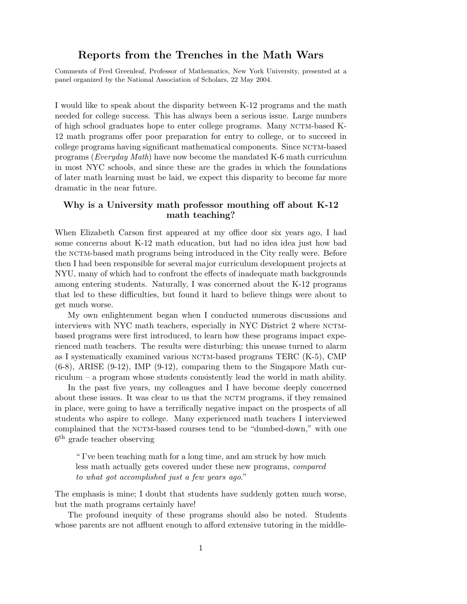## Reports from the Trenches in the Math Wars

Comments of Fred Greenleaf, Professor of Mathematics, New York University, presented at a panel organized by the National Association of Scholars, 22 May 2004.

I would like to speak about the disparity between K-12 programs and the math needed for college success. This has always been a serious issue. Large numbers of high school graduates hope to enter college programs. Many NCTM-based K-12 math programs offer poor preparation for entry to college, or to succeed in college programs having significant mathematical components. Since nctm-based programs (Everyday Math) have now become the mandated K-6 math curriculum in most NYC schools, and since these are the grades in which the foundations of later math learning must be laid, we expect this disparity to become far more dramatic in the near future.

## Why is a University math professor mouthing off about K-12 math teaching?

When Elizabeth Carson first appeared at my office door six years ago, I had some concerns about K-12 math education, but had no idea idea just how bad the nctm-based math programs being introduced in the City really were. Before then I had been responsible for several major curriculum development projects at NYU, many of which had to confront the effects of inadequate math backgrounds among entering students. Naturally, I was concerned about the K-12 programs that led to these difficulties, but found it hard to believe things were about to get much worse.

My own enlightenment began when I conducted numerous discussions and interviews with NYC math teachers, especially in NYC District 2 where nctmbased programs were first introduced, to learn how these programs impact experienced math teachers. The results were disturbing; this unease turned to alarm as I systematically examined various nctm-based programs TERC (K-5), CMP  $(6-8)$ , ARISE  $(9-12)$ , IMP  $(9-12)$ , comparing them to the Singapore Math curriculum – a program whose students consistently lead the world in math ability.

In the past five years, my colleagues and I have become deeply concerned about these issues. It was clear to us that the NCTM programs, if they remained in place, were going to have a terrifically negative impact on the prospects of all students who aspire to college. Many experienced math teachers I interviewed complained that the NCTM-based courses tend to be "dumbed-down," with one 6 th grade teacher observing

" I've been teaching math for a long time, and am struck by how much less math actually gets covered under these new programs, compared to what got accomplished just a few years ago."

The emphasis is mine; I doubt that students have suddenly gotten much worse, but the math programs certainly have!

The profound inequity of these programs should also be noted. Students whose parents are not affluent enough to afford extensive tutoring in the middle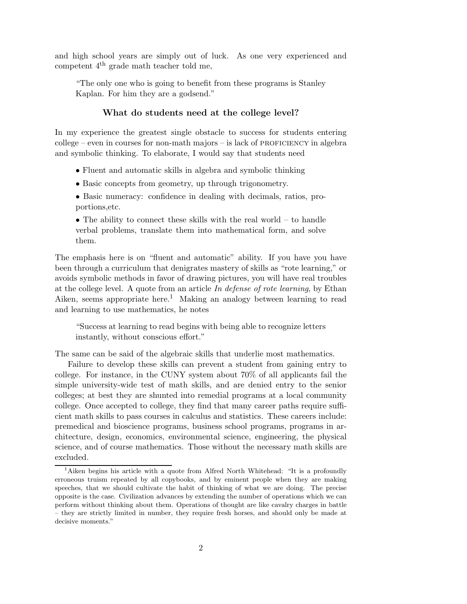and high school years are simply out of luck. As one very experienced and competent 4th grade math teacher told me,

"The only one who is going to benefit from these programs is Stanley Kaplan. For him they are a godsend."

## What do students need at the college level?

In my experience the greatest single obstacle to success for students entering  $\text{collective}$  – even in courses for non-math majors – is lack of PROFICIENCY in algebra and symbolic thinking. To elaborate, I would say that students need

- Fluent and automatic skills in algebra and symbolic thinking
- Basic concepts from geometry, up through trigonometry.
- Basic numeracy: confidence in dealing with decimals, ratios, proportions,etc.

• The ability to connect these skills with the real world – to handle verbal problems, translate them into mathematical form, and solve them.

The emphasis here is on "fluent and automatic" ability. If you have you have been through a curriculum that denigrates mastery of skills as "rote learning," or avoids symbolic methods in favor of drawing pictures, you will have real troubles at the college level. A quote from an article In defense of rote learning, by Ethan Aiken, seems appropriate here.<sup>1</sup> Making an analogy between learning to read and learning to use mathematics, he notes

"Success at learning to read begins with being able to recognize letters instantly, without conscious effort."

The same can be said of the algebraic skills that underlie most mathematics.

Failure to develop these skills can prevent a student from gaining entry to college. For instance, in the CUNY system about 70% of all applicants fail the simple university-wide test of math skills, and are denied entry to the senior colleges; at best they are shunted into remedial programs at a local community college. Once accepted to college, they find that many career paths require sufficient math skills to pass courses in calculus and statistics. These careers include: premedical and bioscience programs, business school programs, programs in architecture, design, economics, environmental science, engineering, the physical science, and of course mathematics. Those without the necessary math skills are excluded.

<sup>&</sup>lt;sup>1</sup>Aiken begins his article with a quote from Alfred North Whitehead: "It is a profoundly erroneous truism repeated by all copybooks, and by eminent people when they are making speeches, that we should cultivate the habit of thinking of what we are doing. The precise opposite is the case. Civilization advances by extending the number of operations which we can perform without thinking about them. Operations of thought are like cavalry charges in battle – they are strictly limited in number, they require fresh horses, and should only be made at decisive moments."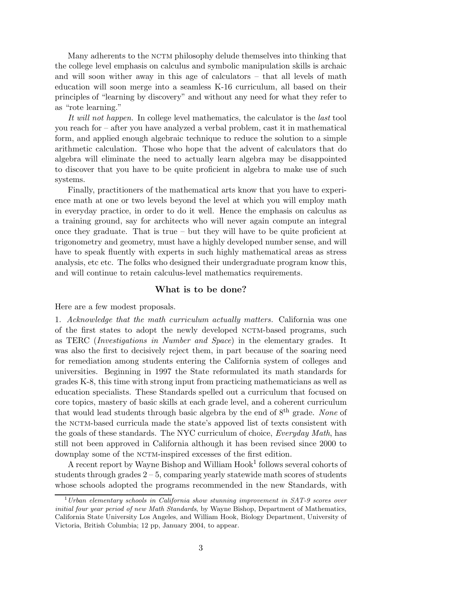Many adherents to the NCTM philosophy delude themselves into thinking that the college level emphasis on calculus and symbolic manipulation skills is archaic and will soon wither away in this age of calculators – that all levels of math education will soon merge into a seamless K-16 curriculum, all based on their principles of "learning by discovery" and without any need for what they refer to as "rote learning."

It will not happen. In college level mathematics, the calculator is the *last* tool you reach for – after you have analyzed a verbal problem, cast it in mathematical form, and applied enough algebraic technique to reduce the solution to a simple arithmetic calculation. Those who hope that the advent of calculators that do algebra will eliminate the need to actually learn algebra may be disappointed to discover that you have to be quite proficient in algebra to make use of such systems.

Finally, practitioners of the mathematical arts know that you have to experience math at one or two levels beyond the level at which you will employ math in everyday practice, in order to do it well. Hence the emphasis on calculus as a training ground, say for architects who will never again compute an integral once they graduate. That is true  $-$  but they will have to be quite proficient at trigonometry and geometry, must have a highly developed number sense, and will have to speak fluently with experts in such highly mathematical areas as stress analysis, etc etc. The folks who designed their undergraduate program know this, and will continue to retain calculus-level mathematics requirements.

## What is to be done?

Here are a few modest proposals.

1. Acknowledge that the math curriculum actually matters. California was one of the first states to adopt the newly developed NCTM-based programs, such as TERC (Investigations in Number and Space) in the elementary grades. It was also the first to decisively reject them, in part because of the soaring need for remediation among students entering the California system of colleges and universities. Beginning in 1997 the State reformulated its math standards for grades K-8, this time with strong input from practicing mathematicians as well as education specialists. These Standards spelled out a curriculum that focused on core topics, mastery of basic skills at each grade level, and a coherent curriculum that would lead students through basic algebra by the end of 8<sup>th</sup> grade. None of the nctm-based curricula made the state's appoved list of texts consistent with the goals of these standards. The NYC curriculum of choice, Everyday Math, has still not been approved in California although it has been revised since 2000 to downplay some of the NCTM-inspired excesses of the first edition.

A recent report by Wayne Bishop and William  $H \text{ook}^1$  follows several cohorts of students through grades  $2 - 5$ , comparing yearly statewide math scores of students whose schools adopted the programs recommended in the new Standards, with

 $1$ Urban elementary schools in California show stunning improvement in SAT-9 scores over initial four year period of new Math Standards, by Wayne Bishop, Department of Mathematics, California State University Los Angeles, and William Hook, Biology Department, University of Victoria, British Columbia; 12 pp, January 2004, to appear.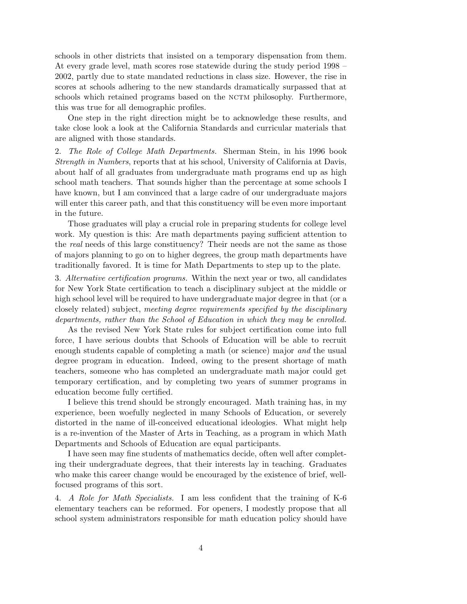schools in other districts that insisted on a temporary dispensation from them. At every grade level, math scores rose statewide during the study period 1998 – 2002, partly due to state mandated reductions in class size. However, the rise in scores at schools adhering to the new standards dramatically surpassed that at schools which retained programs based on the NCTM philosophy. Furthermore, this was true for all demographic profiles.

One step in the right direction might be to acknowledge these results, and take close look a look at the California Standards and curricular materials that are aligned with those standards.

2. The Role of College Math Departments. Sherman Stein, in his 1996 book Strength in Numbers, reports that at his school, University of California at Davis, about half of all graduates from undergraduate math programs end up as high school math teachers. That sounds higher than the percentage at some schools I have known, but I am convinced that a large cadre of our undergraduate majors will enter this career path, and that this constituency will be even more important in the future.

Those graduates will play a crucial role in preparing students for college level work. My question is this: Are math departments paying sufficient attention to the real needs of this large constituency? Their needs are not the same as those of majors planning to go on to higher degrees, the group math departments have traditionally favored. It is time for Math Departments to step up to the plate.

3. Alternative certification programs. Within the next year or two, all candidates for New York State certification to teach a disciplinary subject at the middle or high school level will be required to have undergraduate major degree in that (or a closely related) subject, meeting degree requirements specified by the disciplinary departments, rather than the School of Education in which they may be enrolled.

As the revised New York State rules for subject certification come into full force, I have serious doubts that Schools of Education will be able to recruit enough students capable of completing a math (or science) major *and* the usual degree program in education. Indeed, owing to the present shortage of math teachers, someone who has completed an undergraduate math major could get temporary certification, and by completing two years of summer programs in education become fully certified.

I believe this trend should be strongly encouraged. Math training has, in my experience, been woefully neglected in many Schools of Education, or severely distorted in the name of ill-conceived educational ideologies. What might help is a re-invention of the Master of Arts in Teaching, as a program in which Math Departments and Schools of Education are equal participants.

I have seen may fine students of mathematics decide, often well after completing their undergraduate degrees, that their interests lay in teaching. Graduates who make this career change would be encouraged by the existence of brief, wellfocused programs of this sort.

4. A Role for Math Specialists. I am less confident that the training of K-6 elementary teachers can be reformed. For openers, I modestly propose that all school system administrators responsible for math education policy should have